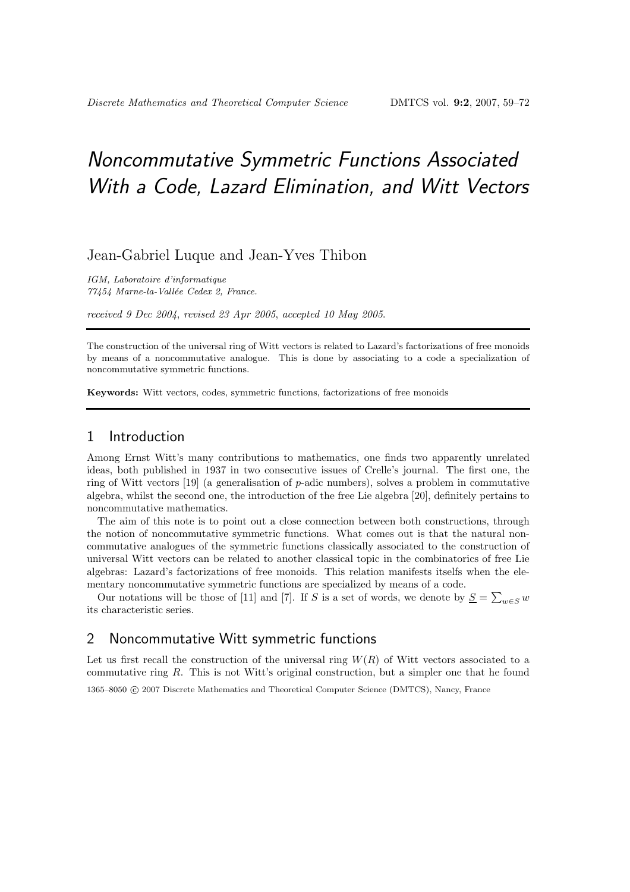# Noncommutative Symmetric Functions Associated With a Code, Lazard Elimination, and Witt Vectors

# Jean-Gabriel Luque and Jean-Yves Thibon

IGM, Laboratoire d'informatique 77454 Marne-la-Vallée Cedex 2, France.

received 9 Dec 2004, revised 23 Apr 2005, accepted 10 May 2005.

The construction of the universal ring of Witt vectors is related to Lazard's factorizations of free monoids by means of a noncommutative analogue. This is done by associating to a code a specialization of noncommutative symmetric functions.

Keywords: Witt vectors, codes, symmetric functions, factorizations of free monoids

## 1 Introduction

Among Ernst Witt's many contributions to mathematics, one finds two apparently unrelated ideas, both published in 1937 in two consecutive issues of Crelle's journal. The first one, the ring of Witt vectors [19] (a generalisation of p-adic numbers), solves a problem in commutative algebra, whilst the second one, the introduction of the free Lie algebra [20], definitely pertains to noncommutative mathematics.

The aim of this note is to point out a close connection between both constructions, through the notion of noncommutative symmetric functions. What comes out is that the natural noncommutative analogues of the symmetric functions classically associated to the construction of universal Witt vectors can be related to another classical topic in the combinatorics of free Lie algebras: Lazard's factorizations of free monoids. This relation manifests itselfs when the elementary noncommutative symmetric functions are specialized by means of a code.

Our notations will be those of [11] and [7]. If S is a set of words, we denote by  $S = \sum_{w \in S} w$ its characteristic series.

## 2 Noncommutative Witt symmetric functions

Let us first recall the construction of the universal ring  $W(R)$  of Witt vectors associated to a commutative ring  $R$ . This is not Witt's original construction, but a simpler one that he found 1365–8050 c 2007 Discrete Mathematics and Theoretical Computer Science (DMTCS), Nancy, France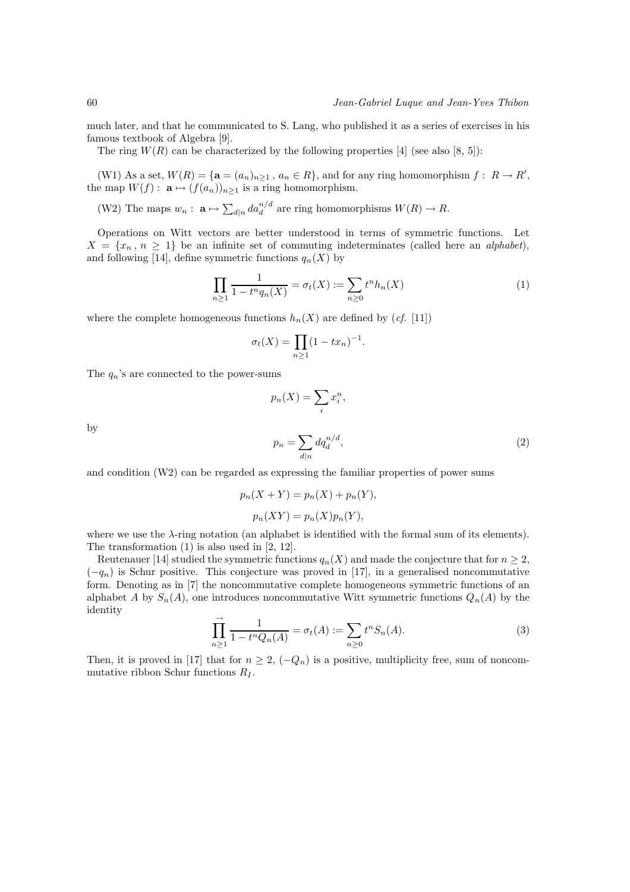much later, and that he communicated to S. Lang, who published it as a series of exercises in his famous textbook of Algebra [9].

The ring  $W(R)$  can be characterized by the following properties [4] (see also [8, 5]):

(W1) As a set,  $W(R) = {\mathbf{a} = (a_n)_{n \geq 1} , a_n \in R}$ , and for any ring homomorphism  $f: R \to R'$ , the map  $W(f)$ :  $\mathbf{a} \mapsto (f(a_n))_{n\geq 1}$  is a ring homomorphism.

(W2) The maps  $w_n: \mathbf{a} \mapsto \sum_{d|n} da_d^{n/d}$  are ring homomorphisms  $W(R) \to R$ .

Operations on Witt vectors are better understood in terms of symmetric functions. Let  $X = \{x_n, n \geq 1\}$  be an infinite set of commuting indeterminates (called here an alphabet), and following [14], define symmetric functions  $q_n(X)$  by

$$
\prod_{n\geq 1} \frac{1}{1 - t^n q_n(X)} = \sigma_t(X) := \sum_{n\geq 0} t^n h_n(X) \tag{1}
$$

where the complete homogeneous functions  $h_n(X)$  are defined by (*cf.* [11])

$$
\sigma_t(X) = \prod_{n \ge 1} (1 - tx_n)^{-1}.
$$

The  $q_n$ 's are connected to the power-sums

$$
p_n(X) = \sum_i x_i^n,
$$
  

$$
p_n = \sum dq_d^{n/d},
$$
 (2)

by

and condition (W2) can be regarded as expressing the familiar properties of power sums

$$
p_n(X + Y) = p_n(X) + p_n(Y),
$$
  

$$
p_n(XY) = p_n(X)p_n(Y),
$$

 $d|n$ 

where we use the λ-ring notation (an alphabet is identified with the formal sum of its elements). The transformation (1) is also used in [2, 12].

Reutenauer [14] studied the symmetric functions  $q_n(X)$  and made the conjecture that for  $n \geq 2$ ,  $(-q_n)$  is Schur positive. This conjecture was proved in [17], in a generalised noncommutative form. Denoting as in [7] the noncommutative complete homogeneous symmetric functions of an alphabet A by  $S_n(A)$ , one introduces noncommutative Witt symmetric functions  $Q_n(A)$  by the identity

$$
\prod_{n\geq 1}^{\rightarrow} \frac{1}{1 - t^n Q_n(A)} = \sigma_t(A) := \sum_{n\geq 0} t^n S_n(A).
$$
 (3)

Then, it is proved in [17] that for  $n \geq 2$ ,  $(-Q_n)$  is a positive, multiplicity free, sum of noncommutative ribbon Schur functions  $R_I$ .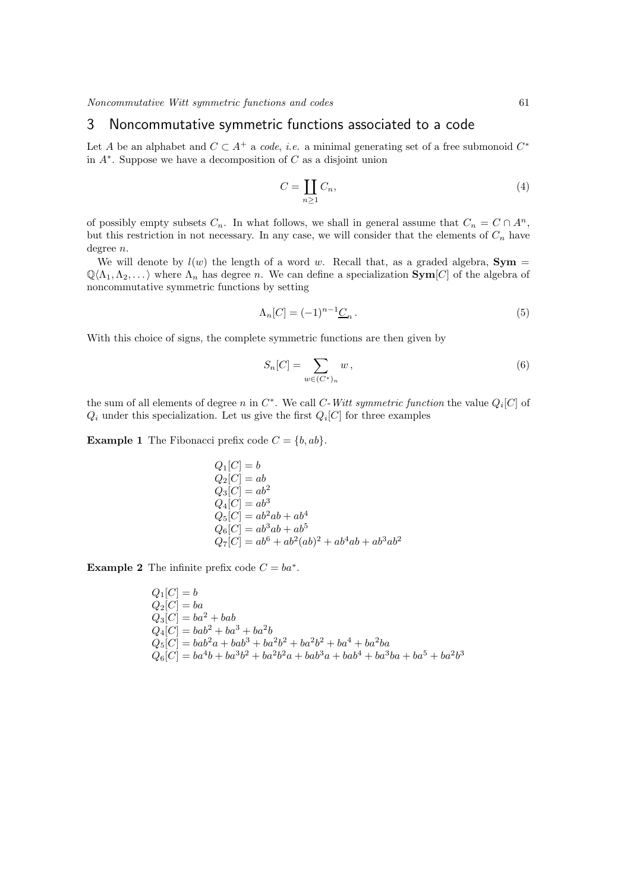# 3 Noncommutative symmetric functions associated to a code

Let A be an alphabet and  $C \subset A^+$  a code, *i.e.* a minimal generating set of a free submonoid  $C^*$ in A<sup>∗</sup> . Suppose we have a decomposition of C as a disjoint union

$$
C = \coprod_{n \ge 1} C_n,\tag{4}
$$

of possibly empty subsets  $C_n$ . In what follows, we shall in general assume that  $C_n = C \cap A^n$ , but this restriction in not necessary. In any case, we will consider that the elements of  $C_n$  have degree n.

We will denote by  $l(w)$  the length of a word w. Recall that, as a graded algebra, **Sym** =  $\mathbb{Q}\langle\Lambda_1,\Lambda_2,\ldots\rangle$  where  $\Lambda_n$  has degree n. We can define a specialization  $\text{Sym}[C]$  of the algebra of noncommutative symmetric functions by setting

$$
\Lambda_n[C] = (-1)^{n-1} \underline{C}_n \,. \tag{5}
$$

With this choice of signs, the complete symmetric functions are then given by

$$
S_n[C] = \sum_{w \in (C^*)_n} w,
$$
\n
$$
(6)
$$

the sum of all elements of degree n in  $C^*$ . We call C-Witt symmetric function the value  $Q_i[C]$  of  $Q_i$  under this specialization. Let us give the first  $Q_i[C]$  for three examples

**Example 1** The Fibonacci prefix code  $C = \{b, ab\}.$ 

$$
Q_1[C] = b\nQ_2[C] = ab\nQ_3[C] = ab2\nQ_4[C] = ab3\nQ_5[C] = ab2ab + ab4\nQ_6[C] = ab3ab + ab5\nQ_7[C] = ab6 + ab2(ab)2 + ab4ab + ab3ab2
$$

**Example 2** The infinite prefix code  $C = ba^*$ .

$$
Q_1[C] = b
$$
  
\n
$$
Q_2[C] = ba
$$
  
\n
$$
Q_3[C] = ba^2 + bab
$$
  
\n
$$
Q_4[C] = bab^2 + ba^3 + ba^2b
$$
  
\n
$$
Q_5[C] = bab^2a + bab^3 + ba^2b^2 + ba^2b^2 + ba^4 + ba^2ba
$$
  
\n
$$
Q_6[C] = ba^4b + ba^3b^2 + ba^2b^2a + bab^3a + bab^4 + ba^3ba + ba^5 + ba^2b^3
$$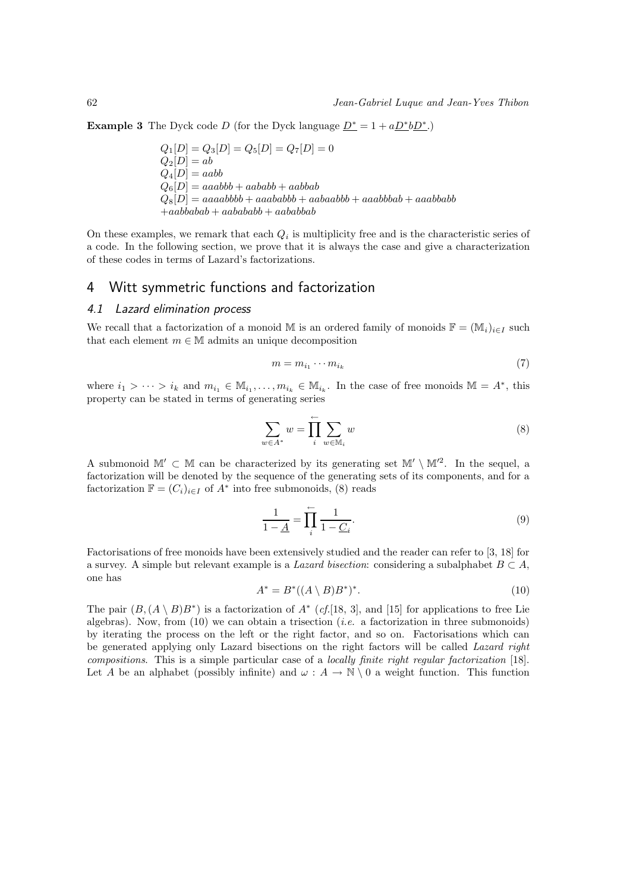**Example 3** The Dyck code D (for the Dyck language  $\underline{D^*} = 1 + a \underline{D^*} b \underline{D^*}$ .)

 $Q_1[D] = Q_3[D] = Q_5[D] = Q_7[D] = 0$  $Q_2[D] = ab$  $Q_4[D] = aabb$  $Q_6[D] = aaabb + aabab + aabab$  $Q_8[D] = aaaabbbb + aaababb + aabaabbb + aaabbabab + aaabbabbb$  $+aabbabab + aabababb + aababbab$ 

On these examples, we remark that each  $Q_i$  is multiplicity free and is the characteristic series of a code. In the following section, we prove that it is always the case and give a characterization of these codes in terms of Lazard's factorizations.

### 4 Witt symmetric functions and factorization

#### 4.1 Lazard elimination process

We recall that a factorization of a monoid M is an ordered family of monoids  $\mathbb{F} = (\mathbb{M}_i)_{i\in I}$  such that each element  $m \in \mathbb{M}$  admits an unique decomposition

$$
m = m_{i_1} \cdots m_{i_k} \tag{7}
$$

where  $i_1 > \cdots > i_k$  and  $m_{i_1} \in M_{i_1}, \ldots, m_{i_k} \in M_{i_k}$ . In the case of free monoids  $M = A^*$ , this property can be stated in terms of generating series

$$
\sum_{w \in A^*} w = \prod_{i}^{\leftarrow} \sum_{w \in \mathbb{M}_i} w \tag{8}
$$

A submonoid  $\mathbb{M}' \subset \mathbb{M}$  can be characterized by its generating set  $\mathbb{M}' \setminus \mathbb{M}'^2$ . In the sequel, a factorization will be denoted by the sequence of the generating sets of its components, and for a factorization  $\mathbb{F} = (C_i)_{i \in I}$  of  $A^*$  into free submonoids, (8) reads

$$
\frac{1}{1-\underline{A}} = \prod_{i=1}^{n} \frac{1}{1-\underline{C}_{i}}.\tag{9}
$$

Factorisations of free monoids have been extensively studied and the reader can refer to [3, 18] for a survey. A simple but relevant example is a Lazard bisection: considering a subalphabet  $B \subset A$ , one has

$$
A^* = B^*((A \setminus B)B^*)^*.
$$
\n<sup>(10)</sup>

The pair  $(B, (A \setminus B)B^*)$  is a factorization of  $A^*$  (cf.[18, 3], and [15] for applications to free Lie algebras). Now, from  $(10)$  we can obtain a trisection (*i.e.* a factorization in three submonoids) by iterating the process on the left or the right factor, and so on. Factorisations which can be generated applying only Lazard bisections on the right factors will be called Lazard right compositions. This is a simple particular case of a locally finite right regular factorization [18]. Let A be an alphabet (possibly infinite) and  $\omega : A \to \mathbb{N} \setminus 0$  a weight function. This function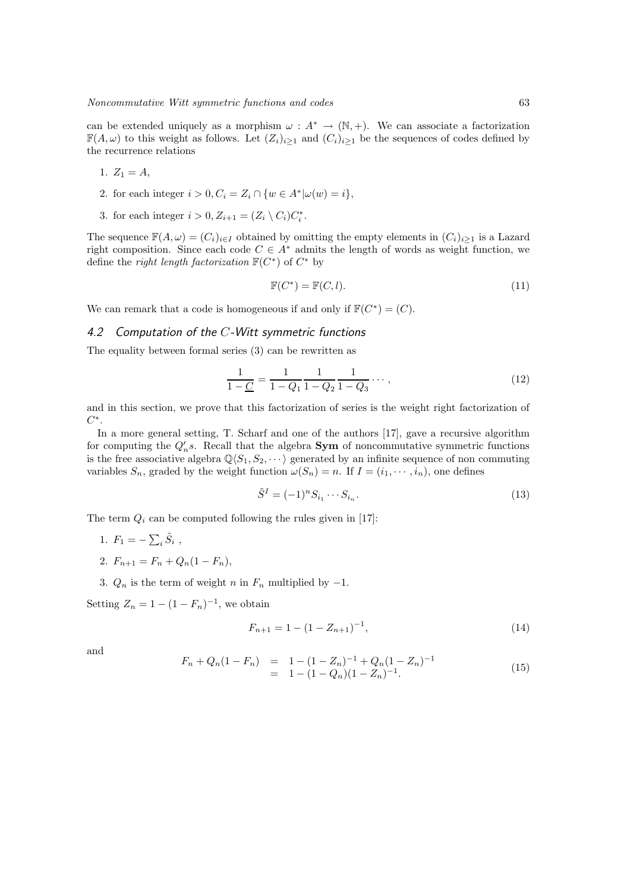can be extended uniquely as a morphism  $\omega : A^* \to (\mathbb{N}, +)$ . We can associate a factorization  $\mathbb{F}(A,\omega)$  to this weight as follows. Let  $(Z_i)_{i\geq 1}$  and  $(C_i)_{i\geq 1}$  be the sequences of codes defined by the recurrence relations

- 1.  $Z_1 = A$ ,
- 2. for each integer  $i > 0, C_i = Z_i \cap \{w \in A^* | \omega(w) = i\},$
- 3. for each integer  $i > 0, Z_{i+1} = (Z_i \setminus C_i)C_i^*$ .

The sequence  $\mathbb{F}(A,\omega) = (C_i)_{i\in I}$  obtained by omitting the empty elements in  $(C_i)_{i\geq 1}$  is a Lazard right composition. Since each code  $C \in A^*$  admits the length of words as weight function, we define the *right length factorization*  $\mathbb{F}(C^*)$  of  $C^*$  by

$$
\mathbb{F}(C^*) = \mathbb{F}(C, l). \tag{11}
$$

We can remark that a code is homogeneous if and only if  $\mathbb{F}(C^*) = (C)$ .

#### 4.2 Computation of the C-Witt symmetric functions

The equality between formal series (3) can be rewritten as

$$
\frac{1}{1 - \underline{C}} = \frac{1}{1 - Q_1} \frac{1}{1 - Q_2} \frac{1}{1 - Q_3} \cdots , \qquad (12)
$$

and in this section, we prove that this factorization of series is the weight right factorization of  $C^*$ .

In a more general setting, T. Scharf and one of the authors [17], gave a recursive algorithm for computing the  $Q_n$ 's. Recall that the algebra **Sym** of noncommutative symmetric functions is the free associative algebra  $\mathbb{Q}\langle S_1, S_2, \cdots \rangle$  generated by an infinite sequence of non commuting variables  $S_n$ , graded by the weight function  $\omega(S_n) = n$ . If  $I = (i_1, \dots, i_n)$ , one defines

$$
\tilde{S}^I = (-1)^n S_{i_1} \cdots S_{i_n}.
$$
\n(13)

The term  $Q_i$  can be computed following the rules given in [17]:

- 1.  $F_1 = -\sum_i \tilde{S}_i$ ,
- 2.  $F_{n+1} = F_n + Q_n(1 F_n),$

3.  $Q_n$  is the term of weight n in  $F_n$  multiplied by  $-1$ .

Setting  $Z_n = 1 - (1 - F_n)^{-1}$ , we obtain

$$
F_{n+1} = 1 - (1 - Z_{n+1})^{-1},\tag{14}
$$

and

$$
F_n + Q_n(1 - F_n) = 1 - (1 - Z_n)^{-1} + Q_n(1 - Z_n)^{-1}
$$
  
= 1 - (1 - Q\_n)(1 - Z\_n)^{-1}. (15)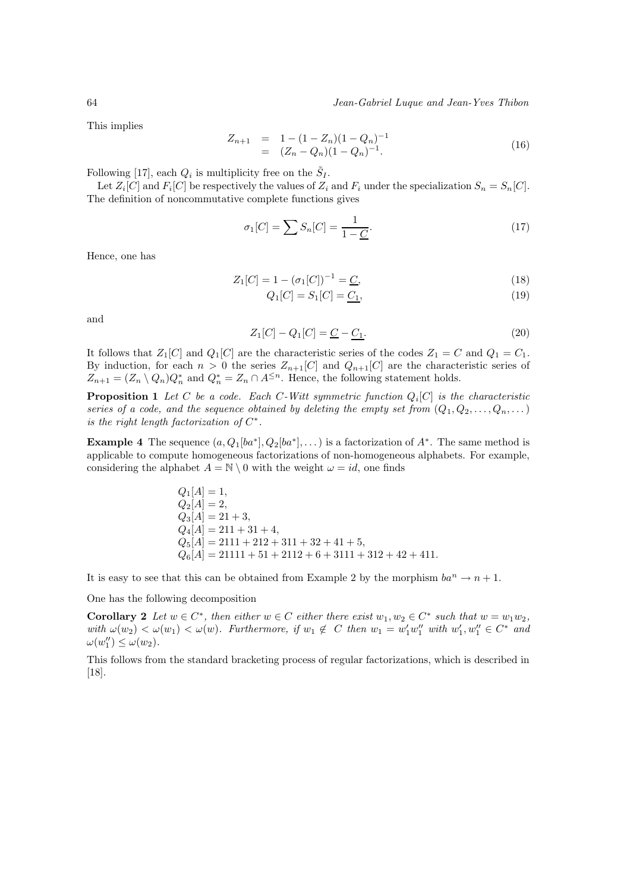This implies

$$
Z_{n+1} = 1 - (1 - Z_n)(1 - Q_n)^{-1}
$$
  
=  $(Z_n - Q_n)(1 - Q_n)^{-1}$ . (16)

Following [17], each  $Q_i$  is multiplicity free on the  $\tilde{S}_I$ .

Let  $Z_i[C]$  and  $F_i[C]$  be respectively the values of  $Z_i$  and  $F_i$  under the specialization  $S_n = S_n[C]$ . The definition of noncommutative complete functions gives

$$
\sigma_1[C] = \sum S_n[C] = \frac{1}{1 - \underline{C}}.\tag{17}
$$

Hence, one has

$$
Z_1[C] = 1 - (\sigma_1[C])^{-1} = \underline{C},\tag{18}
$$

$$
Q_1[C] = S_1[C] = \underline{C_1},\tag{19}
$$

and

$$
Z_1[C] - Q_1[C] = \underline{C} - \underline{C_1}.
$$
\n(20)

It follows that  $Z_1[C]$  and  $Q_1[C]$  are the characteristic series of the codes  $Z_1 = C$  and  $Q_1 = C_1$ . By induction, for each  $n > 0$  the series  $Z_{n+1}[C]$  and  $Q_{n+1}[C]$  are the characteristic series of  $Z_{n+1} = (Z_n \setminus Q_n) Q_n^*$  and  $Q_n^* = Z_n \cap A^{\leq n}$ . Hence, the following statement holds.

**Proposition 1** Let C be a code. Each C-Witt symmetric function  $Q_i[C]$  is the characteristic series of a code, and the sequence obtained by deleting the empty set from  $(Q_1, Q_2, \ldots, Q_n, \ldots)$ is the right length factorization of  $C^*$ .

**Example 4** The sequence  $(a, Q_1[ba^*], Q_2[ba^*], \dots)$  is a factorization of  $A^*$ . The same method is applicable to compute homogeneous factorizations of non-homogeneous alphabets. For example, considering the alphabet  $A = \mathbb{N} \setminus 0$  with the weight  $\omega = id$ , one finds

$$
Q_1[A] = 1,
$$
  
\n
$$
Q_2[A] = 2,
$$
  
\n
$$
Q_3[A] = 21 + 3,
$$
  
\n
$$
Q_4[A] = 211 + 31 + 4,
$$
  
\n
$$
Q_5[A] = 2111 + 212 + 311 + 32 + 41 + 5,
$$
  
\n
$$
Q_6[A] = 21111 + 51 + 2112 + 6 + 3111 + 312 + 42 + 411.
$$

It is easy to see that this can be obtained from Example 2 by the morphism  $ba^n \to n+1$ .

One has the following decomposition

**Corollary 2** Let  $w \in C^*$ , then either  $w \in C$  either there exist  $w_1, w_2 \in C^*$  such that  $w = w_1w_2$ ,  $with \omega(w_2) < \omega(w_1) < \omega(w)$ . Furthermore, if  $w_1 \notin C$  then  $w_1 = w'_1 w''_1$  with  $w'_1, w''_1 \in C^*$  and  $\omega(w_1'') \leq \omega(w_2).$ 

This follows from the standard bracketing process of regular factorizations, which is described in [18].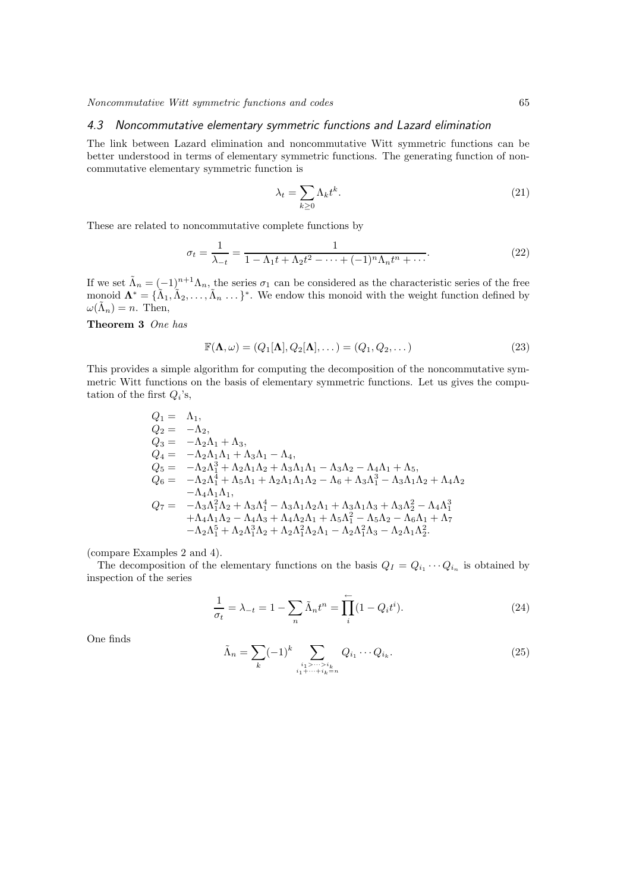#### 4.3 Noncommutative elementary symmetric functions and Lazard elimination

The link between Lazard elimination and noncommutative Witt symmetric functions can be better understood in terms of elementary symmetric functions. The generating function of noncommutative elementary symmetric function is

$$
\lambda_t = \sum_{k \ge 0} \Lambda_k t^k. \tag{21}
$$

These are related to noncommutative complete functions by

$$
\sigma_t = \frac{1}{\lambda_{-t}} = \frac{1}{1 - \Lambda_1 t + \Lambda_2 t^2 - \dots + (-1)^n \Lambda_n t^n + \dots}.
$$
\n(22)

If we set  $\tilde{\Lambda}_n = (-1)^{n+1} \Lambda_n$ , the series  $\sigma_1$  can be considered as the characteristic series of the free monoid  $\mathbf{\Lambda}^* = {\tilde{\Lambda}_1, \tilde{\Lambda}_2, \ldots, \tilde{\Lambda}_n \ldots}^*$ . We endow this monoid with the weight function defined by  $\omega(\tilde{\Lambda}_n) = n.$  Then,

#### Theorem 3 One has

$$
\mathbb{F}(\mathbf{\Lambda},\omega) = (Q_1[\mathbf{\Lambda}], Q_2[\mathbf{\Lambda}],\dots) = (Q_1, Q_2, \dots)
$$
\n(23)

This provides a simple algorithm for computing the decomposition of the noncommutative symmetric Witt functions on the basis of elementary symmetric functions. Let us gives the computation of the first  $Q_i$ 's,

$$
Q_1 = \Lambda_1,\n Q_2 = -\Lambda_2,\n Q_3 = -\Lambda_2\Lambda_1 + \Lambda_3,\n Q_4 = -\Lambda_2\Lambda_1\Lambda_1 + \Lambda_3\Lambda_1 - \Lambda_4,\n Q_5 = -\Lambda_2\Lambda_1^3 + \Lambda_2\Lambda_1\Lambda_2 + \Lambda_3\Lambda_1\Lambda_1 - \Lambda_3\Lambda_2 - \Lambda_4\Lambda_1 + \Lambda_5,\n Q_6 = -\Lambda_2\Lambda_1^4 + \Lambda_5\Lambda_1 + \Lambda_2\Lambda_1\Lambda_1\Lambda_2 - \Lambda_6 + \Lambda_3\Lambda_1^3 - \Lambda_3\Lambda_1\Lambda_2 + \Lambda_4\Lambda_2\n -\Lambda_4\Lambda_1\Lambda_1,\n Q_7 = -\Lambda_3\Lambda_1^2\Lambda_2 + \Lambda_3\Lambda_1^4 - \Lambda_3\Lambda_1\Lambda_2\Lambda_1 + \Lambda_3\Lambda_1\Lambda_3 + \Lambda_3\Lambda_2^2 - \Lambda_4\Lambda_1^3\n +\Lambda_4\Lambda_1\Lambda_2 - \Lambda_4\Lambda_3 + \Lambda_4\Lambda_2\Lambda_1 + \Lambda_5\Lambda_1^2 - \Lambda_5\Lambda_2 - \Lambda_6\Lambda_1 + \Lambda_7\n -\Lambda_2\Lambda_1^5 + \Lambda_2\Lambda_1^3\Lambda_2 + \Lambda_2\Lambda_1^2\Lambda_2\Lambda_1 - \Lambda_2\Lambda_1^2\Lambda_3 - \Lambda_2\Lambda_1\Lambda_2^2.
$$

(compare Examples 2 and 4).

The decomposition of the elementary functions on the basis  $Q_I = Q_{i_1} \cdots Q_{i_n}$  is obtained by inspection of the series

$$
\frac{1}{\sigma_t} = \lambda_{-t} = 1 - \sum_n \tilde{\Lambda}_n t^n = \prod_i^{n} (1 - Q_i t^i).
$$
 (24)

One finds

$$
\tilde{\Lambda}_n = \sum_k (-1)^k \sum_{\substack{i_1 > \dots > i_k \\ i_1 + \dots + i_k = n}} Q_{i_1} \cdots Q_{i_k}.
$$
\n
$$
(25)
$$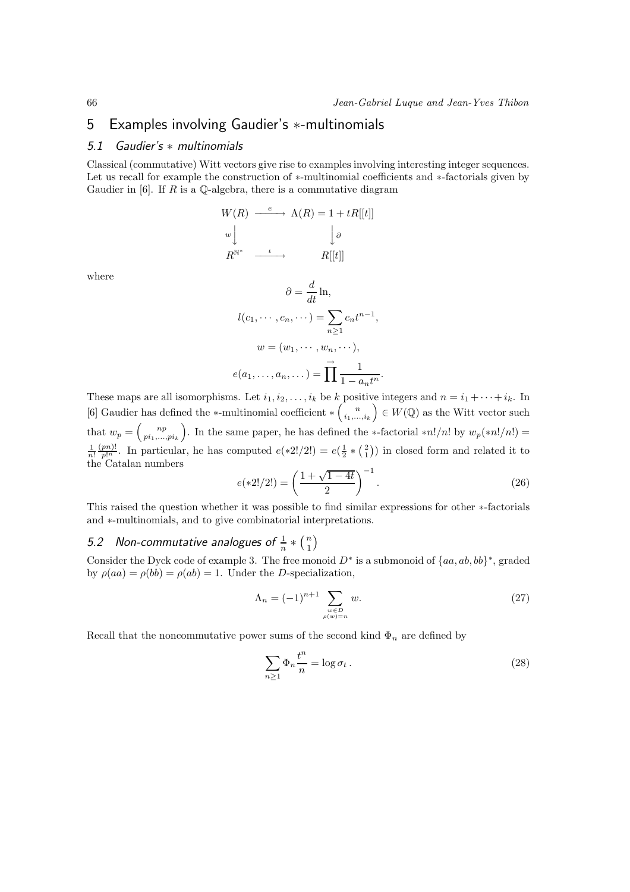# 5 Examples involving Gaudier's ∗-multinomials

#### 5.1 Gaudier's ∗ multinomials

Classical (commutative) Witt vectors give rise to examples involving interesting integer sequences. Let us recall for example the construction of ∗-multinomial coefficients and ∗-factorials given by Gaudier in [6]. If R is a  $\mathbb Q$ -algebra, there is a commutative diagram

$$
W(R) \xrightarrow{e} \Lambda(R) = 1 + tR[[t]]
$$
  
\n
$$
w \downarrow \qquad \qquad \downarrow \partial
$$
  
\n
$$
R^{\mathbb{N}^*} \xrightarrow{t} R[[t]]
$$

where

$$
\partial = \frac{d}{dt} \ln,
$$
  
\n
$$
l(c_1, \dots, c_n, \dots) = \sum_{n \ge 1} c_n t^{n-1},
$$
  
\n
$$
w = (w_1, \dots, w_n, \dots),
$$
  
\n
$$
e(a_1, \dots, a_n, \dots) = \prod_{n=1}^{\infty} \frac{1}{1 - a_n t^n}.
$$

These maps are all isomorphisms. Let  $i_1, i_2, \ldots, i_k$  be k positive integers and  $n = i_1 + \cdots + i_k$ . In [6] Gaudier has defined the \*-multinomial coefficient  $*\binom{n}{i_1,\dots,i_k} \in W(\mathbb{Q})$  as the Witt vector such that  $w_p = \begin{pmatrix} np \\ pi_1,...,pi_k \end{pmatrix}$ . In the same paper, he has defined the ∗-factorial \*n!/n! by  $w_p(*n!/n!)$  $\frac{1}{n!}$  $\frac{(pn)!}{p!^n}$ . In particular, he has computed  $e(*2!/2!) = e(\frac{1}{2} * {\binom{2}{1}})$  in closed form and related it to the Catalan numbers

$$
e(*2!/2!) = \left(\frac{1+\sqrt{1-4t}}{2}\right)^{-1}.
$$
 (26)

This raised the question whether it was possible to find similar expressions for other ∗-factorials and ∗-multinomials, and to give combinatorial interpretations.

#### 5.2 Non-commutative analogues of  $\frac{1}{n} * \binom{n}{1}$  $\binom{n}{1}$

Consider the Dyck code of example 3. The free monoid  $D^*$  is a submonoid of  $\{aa, ab, bb\}^*$ , graded by  $\rho(aa) = \rho(bb) = \rho(ab) = 1$ . Under the *D*-specialization,

$$
\Lambda_n = (-1)^{n+1} \sum_{\substack{w \in D \\ \rho(w) = n}} w.
$$
\n
$$
(27)
$$

Recall that the noncommutative power sums of the second kind  $\Phi_n$  are defined by

$$
\sum_{n\geq 1} \Phi_n \frac{t^n}{n} = \log \sigma_t \,. \tag{28}
$$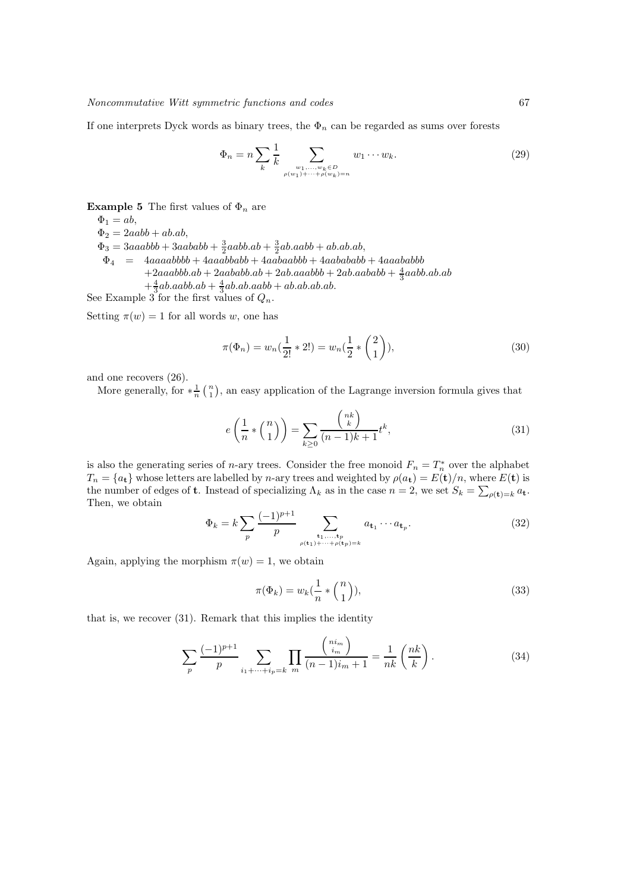If one interprets Dyck words as binary trees, the  $\Phi_n$  can be regarded as sums over forests

$$
\Phi_n = n \sum_{k} \frac{1}{k} \sum_{\substack{w_1, \dots, w_k \in D \\ \rho(w_1) + \dots + \rho(w_k) = n}} w_1 \dots w_k.
$$
 (29)

**Example 5** The first values of  $\Phi_n$  are

 $\Phi_1 = ab$ ,

 $\Phi_2 = 2aab + ab(ab,$ 

 $\Phi_3 = 3aaabbb + 3aababb + \frac{3}{2}aabbab \cdot ab + \frac{3}{2}ab.aabb + ab.ab.ab,$ 

 $\Phi_4 = 4aaaabbbb+4aaaababbb+4aabaabbab+4aaababbb$  $+2aaabbb(ab+2abaabbab+2ab.aaabbb+2ab.aababb+\frac{4}{3}aabbaabab$  $+\frac{4}{3}ab.aabb(ab + \frac{4}{3}ab.ab.aabb + ab.ab.ab.ab.$ 

See Example 3 for the first values of  $Q_n$ .

Setting  $\pi(w) = 1$  for all words w, one has

$$
\pi(\Phi_n) = w_n(\frac{1}{2!} * 2!) = w_n(\frac{1}{2} * {\binom{2}{1}}),\tag{30}
$$

and one recovers (26).

More generally, for  $*\frac{1}{n}$   $\binom{n}{1}$ , an easy application of the Lagrange inversion formula gives that

$$
e\left(\frac{1}{n} * {n \choose 1}\right) = \sum_{k \ge 0} \frac{{nk \choose k}}{(n-1)k+1} t^k,
$$
\n(31)

is also the generating series of *n*-ary trees. Consider the free monoid  $F_n = T_n^*$  over the alphabet  $T_n = \{a_t\}$  whose letters are labelled by n-ary trees and weighted by  $\rho(a_t) = E(t)/n$ , where  $E(t)$  is the number of edges of **t**. Instead of specializing  $\Lambda_k$  as in the case  $n = 2$ , we set  $S_k = \sum_{\rho(\mathbf{t})=k} a_{\mathbf{t}}$ . Then, we obtain

$$
\Phi_k = k \sum_p \frac{(-1)^{p+1}}{p} \sum_{\substack{\mathbf{t}_1, \dots, \mathbf{t}_p \\ \rho(\mathbf{t}_1) + \dots + \rho(\mathbf{t}_p) = k}} a_{\mathbf{t}_1} \cdots a_{\mathbf{t}_p}.
$$
 (32)

Again, applying the morphism  $\pi(w) = 1$ , we obtain

$$
\pi(\Phi_k) = w_k(\frac{1}{n} * \binom{n}{1}),\tag{33}
$$

that is, we recover (31). Remark that this implies the identity

$$
\sum_{p} \frac{(-1)^{p+1}}{p} \sum_{i_1 + \dots + i_p = k} \prod_{m} \frac{{\binom{n i_m}{i_m}}}{(n-1)i_m + 1} = \frac{1}{nk} {\binom{nk}{k}}.
$$
 (34)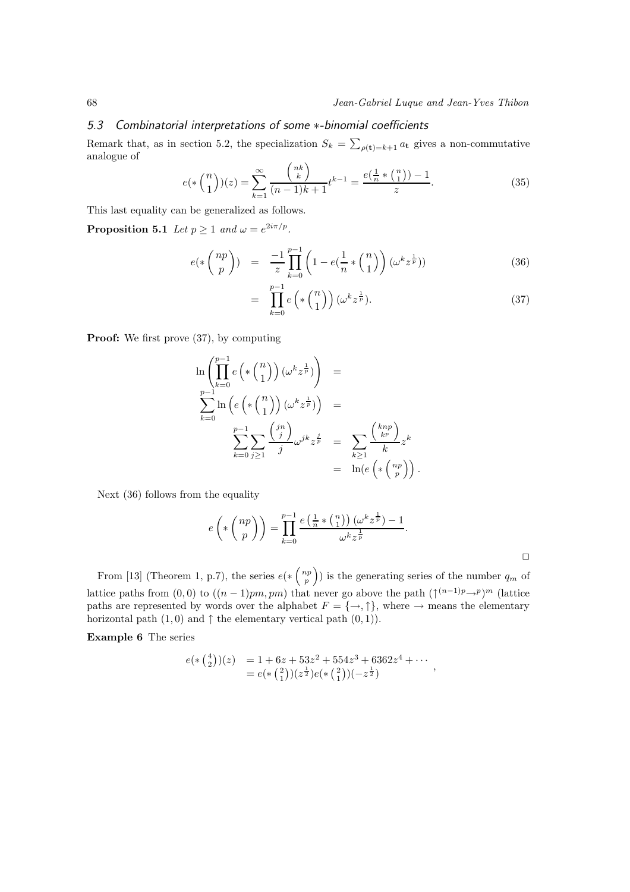#### 5.3 Combinatorial interpretations of some ∗-binomial coefficients

Remark that, as in section 5.2, the specialization  $S_k = \sum_{\rho(\mathbf{t})=k+1} a_{\mathbf{t}}$  gives a non-commutative analogue of

$$
e(*)\binom{n}{1}(z) = \sum_{k=1}^{\infty} \frac{\binom{nk}{k}}{(n-1)k+1} t^{k-1} = \frac{e(\frac{1}{n} * \binom{n}{1}) - 1}{z}.
$$
 (35)

This last equality can be generalized as follows.

**Proposition 5.1** Let  $p \ge 1$  and  $\omega = e^{2i\pi/p}$ .

$$
e(*\binom{np}{p}) = \frac{-1}{z} \prod_{k=0}^{p-1} \left(1 - e(\frac{1}{n} * \binom{n}{1})\right) (\omega^k z^{\frac{1}{p}}))
$$
(36)

$$
= \prod_{k=0}^{p-1} e\left(\ast \binom{n}{1}\right) (\omega^k z^{\frac{1}{p}}). \tag{37}
$$

**Proof:** We first prove  $(37)$ , by computing

$$
\ln\left(\prod_{k=0}^{p-1} e\left(\ast {n \choose 1}\right) (\omega^k z^{\frac{1}{p}})\right) =
$$
\n
$$
\sum_{k=0}^{p-1} \ln\left(e\left(\ast {n \choose 1}\right) (\omega^k z^{\frac{1}{p}})\right) =
$$
\n
$$
\sum_{k=0}^{p-1} \sum_{j\geq 1} \frac{\binom{jn}{j}}{j} \omega^{jk} z^{\frac{j}{p}} = \sum_{k\geq 1} \frac{\binom{knp}{k^p}}{k} z^k
$$
\n
$$
= \ln(e\left(\ast {n p \choose p}\right).
$$

Next (36) follows from the equality

$$
e\left(\ast \left(\begin{array}{c} np \\ p \end{array}\right)\right) = \prod_{k=0}^{p-1} \frac{e\left(\frac{1}{n} \ast \left(\begin{array}{c} n \\ 1 \end{array}\right)\right) (\omega^k z^{\frac{1}{p}}) - 1}{\omega^k z^{\frac{1}{p}}}.
$$

From [13] (Theorem 1, p.7), the series  $e(*\binom{np}{p})$  is the generating series of the number  $q_m$  of lattice paths from  $(0,0)$  to  $((n-1)pm, pm)$  that never go above the path  $(\uparrow^{(n-1)p} \rightarrow^p)^m$  (lattice paths are represented by words over the alphabet  $F = \{\rightarrow, \uparrow\}$ , where  $\rightarrow$  means the elementary horizontal path  $(1, 0)$  and  $\uparrow$  the elementary vertical path  $(0, 1)$ ).

Example 6 The series

$$
e(*\binom{4}{2})(z) = 1 + 6z + 53z^2 + 554z^3 + 6362z^4 + \cdots
$$
  
= 
$$
e(*\binom{2}{1})(z^{\frac{1}{2}})e(*\binom{2}{1})(-z^{\frac{1}{2}})
$$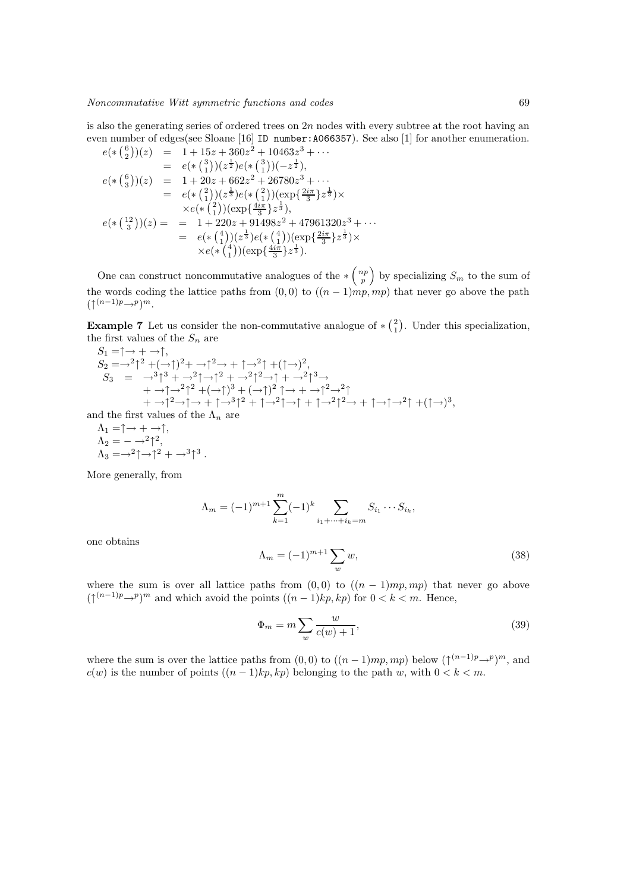is also the generating series of ordered trees on  $2n$  nodes with every subtree at the root having an even number of edges(see Sloane [16] ID number:A066357). See also [1] for another enumeration.

$$
e(*\binom{6}{2})(z) = 1 + 15z + 360z^2 + 10463z^3 + \cdots
$$
  
\n
$$
= e(*\binom{3}{1})(z^{\frac{1}{2}}e(*\binom{3}{1})(-z^{\frac{1}{2}}),
$$
  
\n
$$
e(*\binom{6}{3})(z) = 1 + 20z + 662z^2 + 26780z^3 + \cdots
$$
  
\n
$$
= e(*\binom{2}{1})(z^{\frac{1}{3}}e(*\binom{2}{1})(\exp\{\frac{2i\pi}{3}\}z^{\frac{1}{3}}) \times
$$
  
\n
$$
\times e(*\binom{2}{1})(\exp\{\frac{4i\pi}{3}\}z^{\frac{1}{3}}),
$$
  
\n
$$
e(*\binom{12}{3})(z) = 1 + 220z + 91498z^2 + 47961320z^3 + \cdots
$$
  
\n
$$
= e(*\binom{4}{1})(z^{\frac{1}{3}}e(*\binom{4}{1})(\exp\{\frac{2i\pi}{3}\}z^{\frac{1}{3}}) \times
$$
  
\n
$$
\times e(*\binom{4}{1})(\exp\{\frac{4i\pi}{3}\}z^{\frac{1}{3}}).
$$

One can construct noncommutative analogues of the  $\ast {n \choose p}$  by specializing  $S_m$  to the sum of the words coding the lattice paths from  $(0, 0)$  to  $((n-1)mp, mp)$  that never go above the path  $(\uparrow^{(n-1)p} \rightarrow^p)^m$ .

**Example 7** Let us consider the non-commutative analogue of  $\ast$   $\begin{pmatrix} 2 \\ 1 \end{pmatrix}$ . Under this specialization, the first values of the  $S_n$  are

$$
S_1 = \uparrow \rightarrow + \rightarrow \uparrow,
$$
  
\n
$$
S_2 = \rightarrow^2 \uparrow^2 + (\rightarrow \uparrow)^2 + \rightarrow \uparrow^2 \rightarrow + \uparrow \rightarrow^2 \uparrow + (\uparrow \rightarrow)^2,
$$
  
\n
$$
S_3 = \rightarrow^3 \uparrow^3 + \rightarrow^2 \uparrow \rightarrow \uparrow^2 + \rightarrow^2 \uparrow^2 \rightarrow \uparrow + \rightarrow^2 \uparrow^3 \rightarrow + \rightarrow \uparrow \rightarrow^2 \uparrow^2 + (\rightarrow \uparrow)^3 + (\rightarrow \uparrow)^2 \uparrow \rightarrow + \rightarrow \uparrow^2 \rightarrow^2 \uparrow
$$
  
\n
$$
+ \rightarrow \uparrow^2 \rightarrow \uparrow \rightarrow + \uparrow \rightarrow^3 \uparrow^2 + \uparrow \rightarrow^2 \uparrow \rightarrow \uparrow + \uparrow \rightarrow^2 \uparrow^2 \rightarrow + \uparrow \rightarrow \uparrow \rightarrow^2 \uparrow + (\uparrow \rightarrow)^3,
$$

and the first values of the  $\Lambda_n$  are

$$
\Lambda_1 = \uparrow \to + \to \uparrow,
$$
  
\n
$$
\Lambda_2 = - \to^2 \uparrow^2,
$$
  
\n
$$
\Lambda_3 = \to^2 \uparrow \to \uparrow^2 + \to^3 \uparrow^3.
$$

More generally, from

$$
\Lambda_m = (-1)^{m+1} \sum_{k=1}^m (-1)^k \sum_{i_1 + \dots + i_k = m} S_{i_1} \cdots S_{i_k},
$$

one obtains

$$
\Lambda_m = (-1)^{m+1} \sum_w w,\tag{38}
$$

where the sum is over all lattice paths from  $(0,0)$  to  $((n-1)mp, mp)$  that never go above  $(\uparrow^{(n-1)p} \rightarrow^p)^m$  and which avoid the points  $((n-1)kp, kp)$  for  $0 < k < m$ . Hence,

$$
\Phi_m = m \sum_w \frac{w}{c(w) + 1},\tag{39}
$$

where the sum is over the lattice paths from  $(0,0)$  to  $((n-1)mp,mp)$  below  $(\uparrow^{(n-1)p}\rightarrow^p)^m$ , and  $c(w)$  is the number of points  $((n-1)kp, kp)$  belonging to the path w, with  $0 < k < m$ .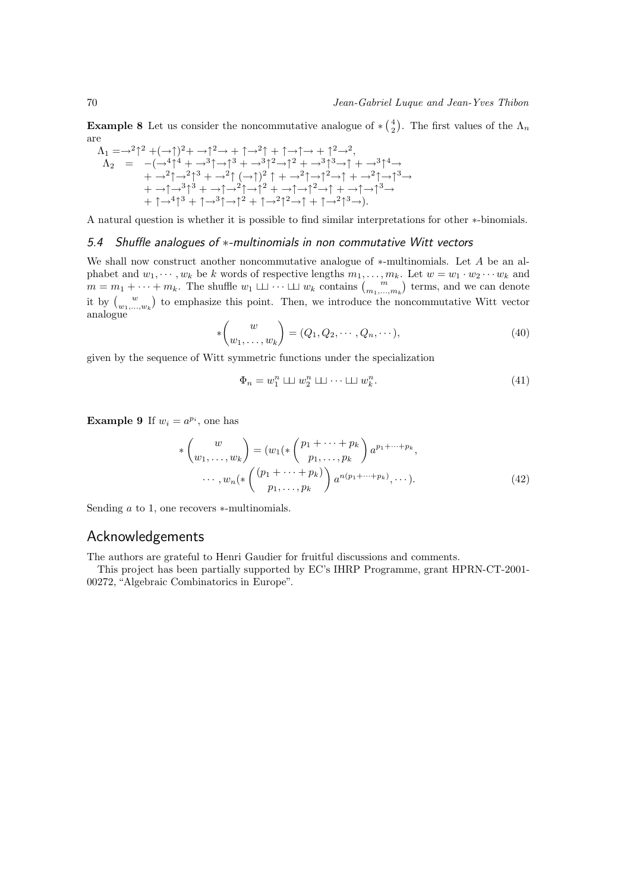**Example 8** Let us consider the noncommutative analogue of  $*(\frac{4}{2})$ . The first values of the  $\Lambda_n$ are

$$
\begin{array}{ll}\n\Lambda_1 = \rightarrow^2 \uparrow^2 + (\rightarrow \uparrow)^2 + \rightarrow \uparrow^2 \rightarrow + \uparrow \rightarrow^2 \uparrow + \uparrow \rightarrow + \uparrow^2 \rightarrow^2, \\
\Lambda_2 = & -(\rightarrow^4 \uparrow^4 + \rightarrow^3 \uparrow \rightarrow \uparrow^3 + \rightarrow^3 \uparrow^2 \rightarrow \uparrow^2 + \rightarrow^3 \uparrow^3 \rightarrow \uparrow + \rightarrow^3 \uparrow^4 \rightarrow \\
& + \rightarrow^2 \uparrow \rightarrow^2 \uparrow^3 + \rightarrow^2 \uparrow (\rightarrow \uparrow)^2 \uparrow + \rightarrow^2 \uparrow \rightarrow \uparrow^2 \rightarrow \uparrow + \rightarrow^2 \uparrow \rightarrow \uparrow^3 \rightarrow \\
& + \rightarrow \uparrow \rightarrow^3 \uparrow^3 + \rightarrow \uparrow \rightarrow^2 \uparrow \rightarrow \uparrow^2 + \rightarrow \uparrow \rightarrow^2 \rightarrow \uparrow + \rightarrow \uparrow \rightarrow^3 \rightarrow \\
& + \uparrow \rightarrow^4 \uparrow^3 + \uparrow \rightarrow^3 \uparrow \rightarrow \uparrow^2 + \uparrow \rightarrow^2 \uparrow^2 \rightarrow \uparrow + \uparrow \rightarrow^2 \uparrow^3 \rightarrow).\n\end{array}
$$

A natural question is whether it is possible to find similar interpretations for other ∗-binomials.

#### 5.4 Shuffle analogues of ∗-multinomials in non commutative Witt vectors

We shall now construct another noncommutative analogue of ∗-multinomials. Let A be an alphabet and  $w_1, \dots, w_k$  be k words of respective lengths  $m_1, \dots, m_k$ . Let  $w = w_1 \cdot w_2 \cdots w_k$  and  $m = m_1 + \cdots + m_k$ . The shuffle  $w_1 \sqcup \cdots \sqcup w_k$  contains  $\binom{m}{m_1,\ldots,m_k}$  terms, and we can denote it by  $\binom{w}{w_1,\ldots,w_k}$  to emphasize this point. Then, we introduce the noncommutative Witt vector analogue

$$
\ast \begin{pmatrix} w \\ w_1, \dots, w_k \end{pmatrix} = (Q_1, Q_2, \dots, Q_n, \dots), \tag{40}
$$

given by the sequence of Witt symmetric functions under the specialization

$$
\Phi_n = w_1^n \sqcup w_2^n \sqcup \cdots \sqcup w_k^n. \tag{41}
$$

**Example 9** If  $w_i = a^{p_i}$ , one has

$$
\begin{aligned}\n\ast \begin{pmatrix} w \\ w_1, \dots, w_k \end{pmatrix} &= \left( w_1 \left( \ast \begin{pmatrix} p_1 + \dots + p_k \\ p_1, \dots, p_k \end{pmatrix} a^{p_1 + \dots + p_k}, \right. \\
\dots, w_n \left( \ast \begin{pmatrix} (p_1 + \dots + p_k) \\ p_1, \dots, p_k \end{pmatrix} a^{n(p_1 + \dots + p_k)}, \dots \right).\n\end{aligned} \tag{42}
$$

Sending a to 1, one recovers ∗-multinomials.

## Acknowledgements

The authors are grateful to Henri Gaudier for fruitful discussions and comments.

This project has been partially supported by EC's IHRP Programme, grant HPRN-CT-2001- 00272, "Algebraic Combinatorics in Europe".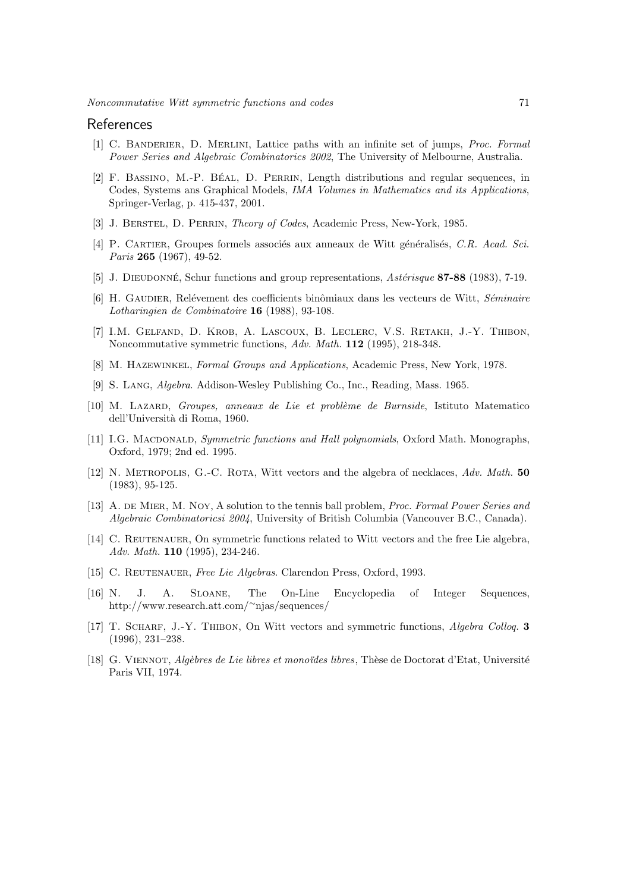#### References

- [1] C. Banderier, D. Merlini, Lattice paths with an infinite set of jumps, Proc. Formal Power Series and Algebraic Combinatorics 2002, The University of Melbourne, Australia.
- [2] F. Bassino, M.-P. B´eal, D. Perrin, Length distributions and regular sequences, in Codes, Systems ans Graphical Models, IMA Volumes in Mathematics and its Applications, Springer-Verlag, p. 415-437, 2001.
- [3] J. Berstel, D. Perrin, Theory of Codes, Academic Press, New-York, 1985.
- [4] P. CARTIER, Groupes formels associés aux anneaux de Witt généralisés, C.R. Acad. Sci. Paris 265 (1967), 49-52.
- [5] J. DIEUDONNÉ, Schur functions and group representations, Astérisque 87-88 (1983), 7-19.
- [6] H. GAUDIER, Relévement des coefficients binômiaux dans les vecteurs de Witt, Séminaire Lotharingien de Combinatoire 16 (1988), 93-108.
- [7] I.M. Gelfand, D. Krob, A. Lascoux, B. Leclerc, V.S. Retakh, J.-Y. Thibon, Noncommutative symmetric functions, Adv. Math. 112 (1995), 218-348.
- [8] M. Hazewinkel, Formal Groups and Applications, Academic Press, New York, 1978.
- [9] S. Lang, Algebra. Addison-Wesley Publishing Co., Inc., Reading, Mass. 1965.
- [10] M. LAZARD, Groupes, anneaux de Lie et problème de Burnside, Istituto Matematico dell'Università di Roma, 1960.
- [11] I.G. MACDONALD, Symmetric functions and Hall polynomials, Oxford Math. Monographs, Oxford, 1979; 2nd ed. 1995.
- [12] N. METROPOLIS, G.-C. ROTA, Witt vectors and the algebra of necklaces, Adv. Math. 50 (1983), 95-125.
- [13] A. DE MIER, M. NOY, A solution to the tennis ball problem, *Proc. Formal Power Series and* Algebraic Combinatoricsi 2004, University of British Columbia (Vancouver B.C., Canada).
- [14] C. REUTENAUER, On symmetric functions related to Witt vectors and the free Lie algebra, Adv. Math. 110 (1995), 234-246.
- [15] C. REUTENAUER, Free Lie Algebras. Clarendon Press, Oxford, 1993.
- [16] N. J. A. Sloane, The On-Line Encyclopedia of Integer Sequences, http://www.research.att.com/<sup>∼</sup>njas/sequences/
- [17] T. SCHARF, J.-Y. THIBON, On Witt vectors and symmetric functions, *Algebra Colloq.* 3 (1996), 231–238.
- [18] G. VIENNOT, Algèbres de Lie libres et monoïdes libres, Thèse de Doctorat d'Etat, Université Paris VII, 1974.